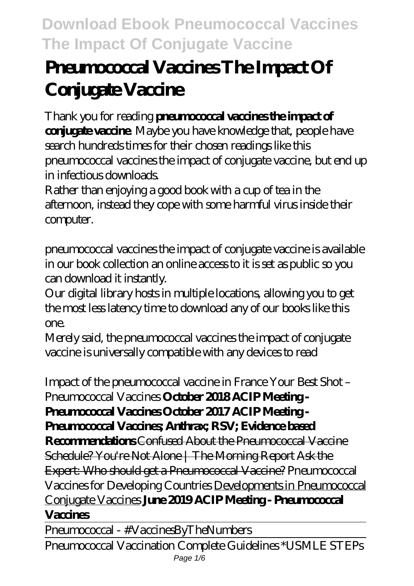# **Pneumococcal Vaccines The Impact Of Conjugate Vaccine**

Thank you for reading **pneumococcal vaccines the impact of conjugate vaccine**. Maybe you have knowledge that, people have search hundreds times for their chosen readings like this pneumococcal vaccines the impact of conjugate vaccine, but end up in infectious downloads.

Rather than enjoying a good book with a cup of tea in the afternoon, instead they cope with some harmful virus inside their computer.

pneumococcal vaccines the impact of conjugate vaccine is available in our book collection an online access to it is set as public so you can download it instantly.

Our digital library hosts in multiple locations, allowing you to get the most less latency time to download any of our books like this one.

Merely said, the pneumococcal vaccines the impact of conjugate vaccine is universally compatible with any devices to read

*Impact of the pneumococcal vaccine in France Your Best Shot – Pneumococcal Vaccines* **October 2018 ACIP Meeting -**

**Pneumococcal Vaccines October 2017 ACIP Meeting -**

**Pneumococcal Vaccines; Anthrax; RSV; Evidence based**

**Recommendations** Confused About the Pneumococcal Vaccine Schedule? You're Not Alone | The Morning Report Ask the Expert: Who should get a Pneumococal Vaccine? Pneumococal Vaccines for Developing Countries Developments in Pneumococcal Conjugate Vaccines **June 2019 ACIP Meeting - Pneumococcal Vaccines** 

Pneumococcal - #VaccinesByTheNumbers

Pneumococcal Vaccination Complete Guidelines \*USMLE STEPs Page  $1/6$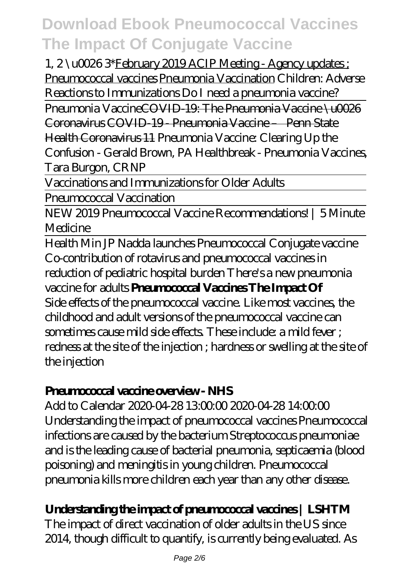1, 2 \u0026 3\*February 2019 ACIP Meeting - Agency updates ; Pneumococcal vaccines Pneumonia Vaccination Children: Adverse Reactions to Immunizations *Do I need a pneumonia vaccine?*

Pneumonia VaccineCOVID-19: The Pneumonia Vaccine \u0026 Coronavirus COVID-19 - Pneumonia Vaccine – Penn State

Health Coronavirus 11 *Pneumonia Vaccine: Clearing Up the Confusion - Gerald Brown, PA Healthbreak - Pneumonia Vaccines, Tara Burgon, CRNP*

Vaccinations and Immunizations for Older Adults

Pneumococcal Vaccination

NEW 2019 Pneumococcal Vaccine Recommendations! | 5 Minute Medicine

Health Min JP Nadda launches Pneumococcal Conjugate vaccine Co-contribution of rotavirus and pneumococcal vaccines in reduction of pediatric hospital burden *There's a new pneumonia vaccine for adults* **Pneumococcal Vaccines The Impact Of** Side effects of the pneumococcal vaccine. Like most vaccines, the childhood and adult versions of the pneumococcal vaccine can sometimes cause mild side effects. These include: a mild fever ; redness at the site of the injection ; hardness or swelling at the site of the injection

#### **Pneumococcal vaccine overview - NHS**

Add to Calendar 2020-04-28 13:00:00 2020-04-28 14:00:00 Understanding the impact of pneumococcal vaccines Pneumococcal infections are caused by the bacterium Streptococcus pneumoniae and is the leading cause of bacterial pneumonia, septicaemia (blood poisoning) and meningitis in young children. Pneumococcal pneumonia kills more children each year than any other disease.

### **Understanding the impact of pneumococcal vaccines | LSHTM**

The impact of direct vaccination of older adults in the US since 2014, though difficult to quantify, is currently being evaluated. As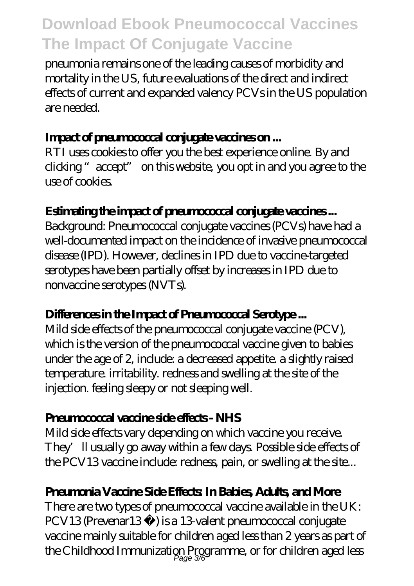pneumonia remains one of the leading causes of morbidity and mortality in the US, future evaluations of the direct and indirect effects of current and expanded valency PCVs in the US population are needed.

#### **Impact of pneumococcal conjugate vaccines on ...**

RTI uses cookies to offer you the best experience online. By and clicking "accept" on this website, you opt in and you agree to the use of cookies.

#### **Estimating the impact of pneumococcal conjugate vaccines ...**

Background: Pneumococcal conjugate vaccines (PCVs) have had a well-documented impact on the incidence of invasive pneumococcal disease (IPD). However, declines in IPD due to vaccine-targeted serotypes have been partially offset by increases in IPD due to nonvaccine serotypes (NVTs).

#### **Differences in the Impact of Pneumococcal Serotype ...**

Mild side effects of the pneumococcal conjugate vaccine (PCV), which is the version of the pneumococcal vaccine given to babies under the age of 2, include: a decreased appetite. a slightly raised temperature. irritability. redness and swelling at the site of the injection. feeling sleepy or not sleeping well.

#### **Pneumococcal vaccine side effects - NHS**

Mild side effects vary depending on which vaccine you receive. They'll usually go away within a few days. Possible side effects of the PCV13 vaccine include: redness, pain, or swelling at the site...

#### **Pneumonia Vaccine Side Effects: In Babies, Adults, and More**

There are two types of pneumococcal vaccine available in the UK: PCV13 (Prevenar13 ®) is a 13-valent pneumococcal conjugate vaccine mainly suitable for children aged less than 2 years as part of the Childhood Immunization Programme, or for children aged less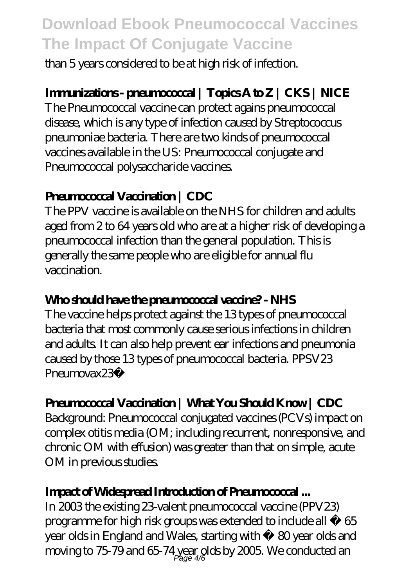than 5 years considered to be at high risk of infection.

#### **Immunizations - pneumococcal | Topics A to Z | CKS | NICE**

The Pneumococcal vaccine can protect agains pneumococcal disease, which is any type of infection caused by Streptococcus pneumoniae bacteria. There are two kinds of pneumococcal vaccines available in the US: Pneumococcal conjugate and Pneumococcal polysaccharide vaccines.

#### **Pneumococcal Vaccination | CDC**

The PPV vaccine is available on the NHS for children and adults aged from 2 to 64 years old who are at a higher risk of developing a pneumococcal infection than the general population. This is generally the same people who are eligible for annual flu vaccination.

#### Who should have the preumococal vaccine? - NHS

The vaccine helps protect against the 13 types of pneumococcal bacteria that most commonly cause serious infections in children and adults. It can also help prevent ear infections and pneumonia caused by those 13 types of pneumococcal bacteria. PPSV23 Pneumovax23®

#### **Pneumococal Vaccination | What You Should Know | CDC**

Background: Pneumococcal conjugated vaccines (PCVs) impact on complex otitis media (OM; including recurrent, nonresponsive, and chronic OM with effusion) was greater than that on simple, acute OM in previous studies.

#### **Impact of Widespread Introduction of Pneumococcal ...**

In 2003 the existing 23-valent pneumococcal vaccine (PPV23) programme for high risk groups was extended to include all ≥ 65 year olds in England and Wales, starting with ≥ 80 year olds and moving to 75-79 and 65-74 year olds by 2005. We conducted an Page 4/6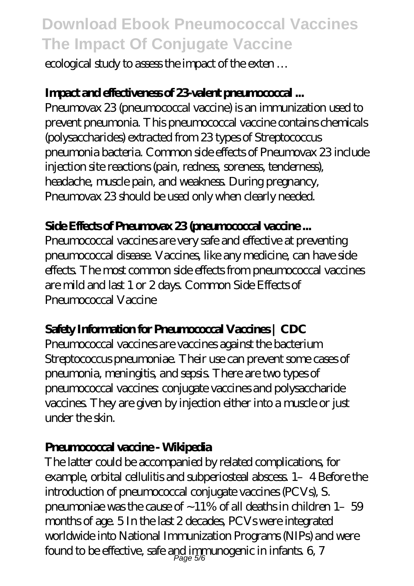ecological study to assess the impact of the exten …

#### **Impact and effectiveness of 23-valent pneumococcal ...**

Pneumovax 23 (pneumococcal vaccine) is an immunization used to prevent pneumonia. This pneumococcal vaccine contains chemicals (polysaccharides) extracted from 23 types of Streptococcus pneumonia bacteria. Common side effects of Pneumovax 23 include injection site reactions (pain, redness, soreness, tenderness), headache, muscle pain, and weakness. During pregnancy, Pneumovax 23 should be used only when clearly needed.

#### **Side Effects of Pneumovax 23 (pneumococcal vaccine ...**

Pneumococcal vaccines are very safe and effective at preventing pneumococcal disease. Vaccines, like any medicine, can have side effects. The most common side effects from pneumococcal vaccines are mild and last 1 or 2 days. Common Side Effects of Pneumococal Vaccine

#### **Safety Information for Pneumococcal Vaccines | CDC**

Pneumococcal vaccines are vaccines against the bacterium Streptococcus pneumoniae. Their use can prevent some cases of pneumonia, meningitis, and sepsis. There are two types of pneumococcal vaccines: conjugate vaccines and polysaccharide vaccines. They are given by injection either into a muscle or just under the skin.

#### **Pneumococcal vaccine - Wikipedia**

The latter could be accompanied by related complications, for example, orbital cellulitis and subperiosteal abscess. 1–4 Before the introduction of pneumococcal conjugate vaccines (PCVs), S. pneumoniae was the cause of  $\sim$  11% of all deaths in children 1- $\,$  59 months of age. 5 In the last 2 decades, PCVs were integrated worldwide into National Immunization Programs (NIPs) and were found to be effective, safe and immunogenic in infants.  $6\,$   $7\,$